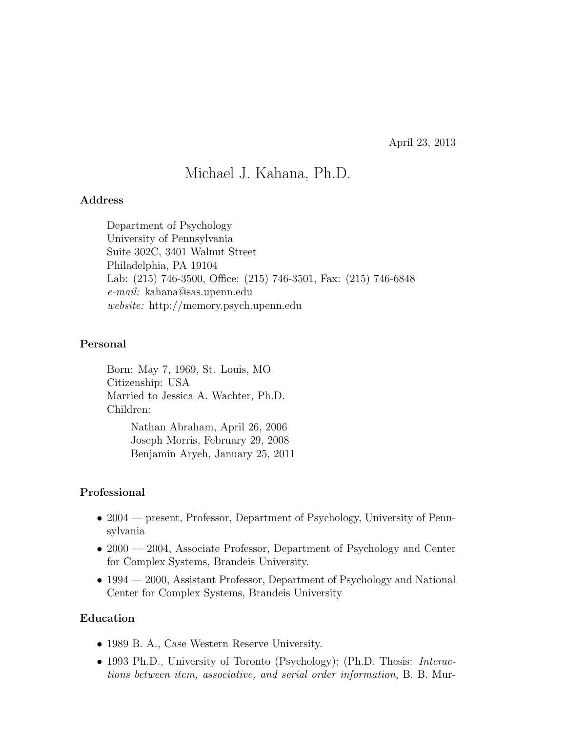April 23, 2013

# Michael J. Kahana, Ph.D.

### Address

Department of Psychology University of Pennsylvania Suite 302C, 3401 Walnut Street Philadelphia, PA 19104 Lab: (215) 746-3500, Office: (215) 746-3501, Fax: (215) 746-6848 e-mail: kahana@sas.upenn.edu website: http://memory.psych.upenn.edu

#### Personal

Born: May 7, 1969, St. Louis, MO Citizenship: USA Married to Jessica A. Wachter, Ph.D. Children: Nathan Abraham, April 26, 2006 Joseph Morris, February 29, 2008

Benjamin Aryeh, January 25, 2011

### Professional

- 2004 present, Professor, Department of Psychology, University of Pennsylvania
- 2000 2004, Associate Professor, Department of Psychology and Center for Complex Systems, Brandeis University.
- 1994 2000, Assistant Professor, Department of Psychology and National Center for Complex Systems, Brandeis University

#### Education

- 1989 B. A., Case Western Reserve University.
- 1993 Ph.D., University of Toronto (Psychology); (Ph.D. Thesis: *Interac*tions between item, associative, and serial order information, B. B. Mur-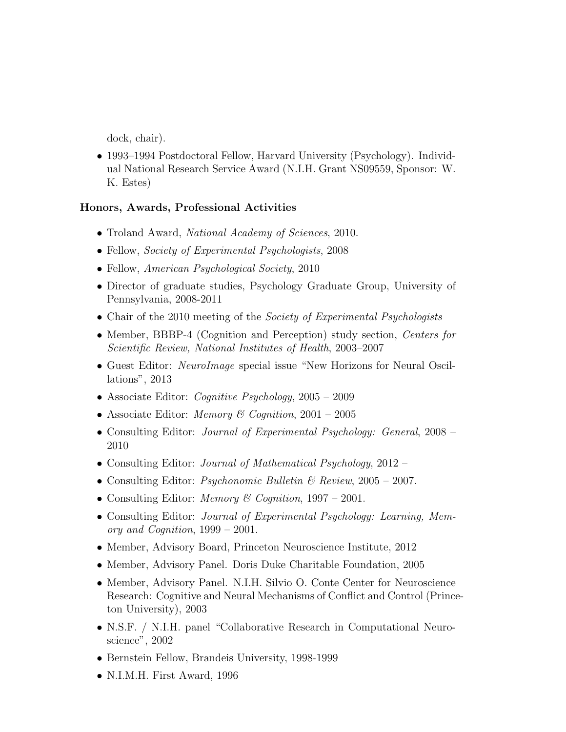dock, chair).

• 1993–1994 Postdoctoral Fellow, Harvard University (Psychology). Individual National Research Service Award (N.I.H. Grant NS09559, Sponsor: W. K. Estes)

## Honors, Awards, Professional Activities

- Troland Award, *National Academy of Sciences*, 2010.
- Fellow, *Society of Experimental Psychologists*, 2008
- Fellow, American Psychological Society, 2010
- Director of graduate studies, Psychology Graduate Group, University of Pennsylvania, 2008-2011
- Chair of the 2010 meeting of the *Society of Experimental Psychologists*
- Member, BBBP-4 (Cognition and Perception) study section, Centers for Scientific Review, National Institutes of Health, 2003–2007
- Guest Editor: NeuroImage special issue "New Horizons for Neural Oscillations", 2013
- Associate Editor: *Cognitive Psychology*,  $2005 2009$
- Associate Editor: *Memory & Cognition*,  $2001 2005$
- Consulting Editor: Journal of Experimental Psychology: General, 2008 2010
- Consulting Editor: *Journal of Mathematical Psychology*, 2012 –
- Consulting Editor: *Psychonomic Bulletin & Review*,  $2005 2007$ .
- Consulting Editor: Memory & Coqnition,  $1997 2001$ .
- Consulting Editor: Journal of Experimental Psychology: Learning, Memory and Cognition, 1999 – 2001.
- Member, Advisory Board, Princeton Neuroscience Institute, 2012
- Member, Advisory Panel. Doris Duke Charitable Foundation, 2005
- Member, Advisory Panel. N.I.H. Silvio O. Conte Center for Neuroscience Research: Cognitive and Neural Mechanisms of Conflict and Control (Princeton University), 2003
- N.S.F. / N.I.H. panel "Collaborative Research in Computational Neuroscience", 2002
- Bernstein Fellow, Brandeis University, 1998-1999
- N.I.M.H. First Award, 1996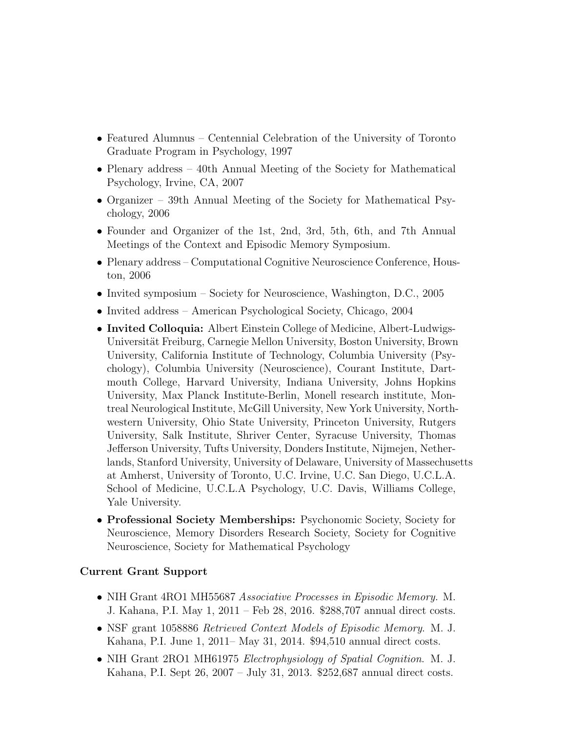- Featured Alumnus Centennial Celebration of the University of Toronto Graduate Program in Psychology, 1997
- Plenary address 40th Annual Meeting of the Society for Mathematical Psychology, Irvine, CA, 2007
- Organizer 39th Annual Meeting of the Society for Mathematical Psychology, 2006
- Founder and Organizer of the 1st, 2nd, 3rd, 5th, 6th, and 7th Annual Meetings of the Context and Episodic Memory Symposium.
- Plenary address Computational Cognitive Neuroscience Conference, Houston, 2006
- Invited symposium Society for Neuroscience, Washington, D.C., 2005
- Invited address American Psychological Society, Chicago, 2004
- Invited Colloquia: Albert Einstein College of Medicine, Albert-Ludwigs-Universität Freiburg, Carnegie Mellon University, Boston University, Brown University, California Institute of Technology, Columbia University (Psychology), Columbia University (Neuroscience), Courant Institute, Dartmouth College, Harvard University, Indiana University, Johns Hopkins University, Max Planck Institute-Berlin, Monell research institute, Montreal Neurological Institute, McGill University, New York University, Northwestern University, Ohio State University, Princeton University, Rutgers University, Salk Institute, Shriver Center, Syracuse University, Thomas Jefferson University, Tufts University, Donders Institute, Nijmejen, Netherlands, Stanford University, University of Delaware, University of Massechusetts at Amherst, University of Toronto, U.C. Irvine, U.C. San Diego, U.C.L.A. School of Medicine, U.C.L.A Psychology, U.C. Davis, Williams College, Yale University.
- Professional Society Memberships: Psychonomic Society, Society for Neuroscience, Memory Disorders Research Society, Society for Cognitive Neuroscience, Society for Mathematical Psychology

### Current Grant Support

- NIH Grant 4RO1 MH55687 Associative Processes in Episodic Memory. M. J. Kahana, P.I. May 1, 2011 – Feb 28, 2016. \$288,707 annual direct costs.
- NSF grant 1058886 Retrieved Context Models of Episodic Memory. M. J. Kahana, P.I. June 1, 2011– May 31, 2014. \$94,510 annual direct costs.
- NIH Grant 2RO1 MH61975 *Electrophysiology of Spatial Cognition*. M. J. Kahana, P.I. Sept 26, 2007 – July 31, 2013. \$252,687 annual direct costs.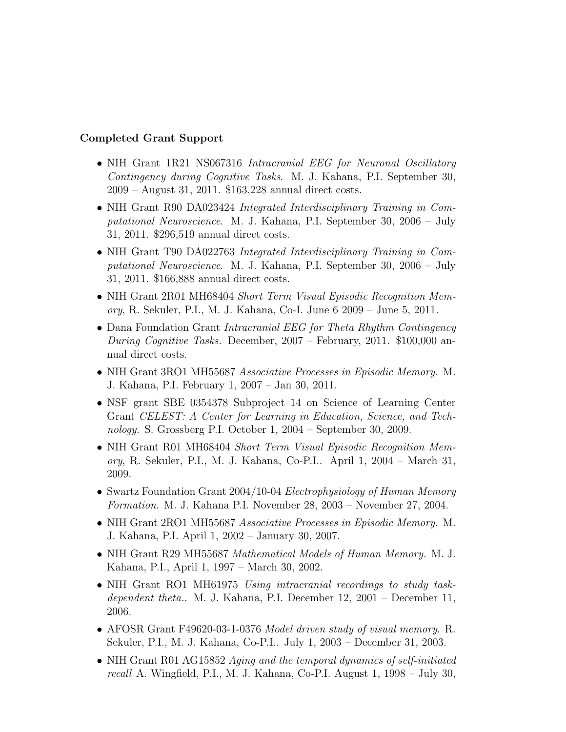## Completed Grant Support

- NIH Grant 1R21 NS067316 Intracranial EEG for Neuronal Oscillatory Contingency during Cognitive Tasks. M. J. Kahana, P.I. September 30, 2009 – August 31, 2011. \$163,228 annual direct costs.
- NIH Grant R90 DA023424 Integrated Interdisciplinary Training in Computational Neuroscience. M. J. Kahana, P.I. September 30, 2006 – July 31, 2011. \$296,519 annual direct costs.
- NIH Grant T90 DA022763 Integrated Interdisciplinary Training in Computational Neuroscience. M. J. Kahana, P.I. September 30, 2006 – July 31, 2011. \$166,888 annual direct costs.
- NIH Grant 2R01 MH68404 Short Term Visual Episodic Recognition Memory, R. Sekuler, P.I., M. J. Kahana, Co-I. June 6 2009 – June 5, 2011.
- Dana Foundation Grant Intracranial EEG for Theta Rhythm Contingency During Cognitive Tasks. December, 2007 – February, 2011. \$100,000 annual direct costs.
- NIH Grant 3RO1 MH55687 Associative Processes in Episodic Memory. M. J. Kahana, P.I. February 1, 2007 – Jan 30, 2011.
- NSF grant SBE 0354378 Subproject 14 on Science of Learning Center Grant CELEST: A Center for Learning in Education, Science, and Technology. S. Grossberg P.I. October 1, 2004 – September 30, 2009.
- NIH Grant R01 MH68404 Short Term Visual Episodic Recognition Memory, R. Sekuler, P.I., M. J. Kahana, Co-P.I.. April 1, 2004 – March 31, 2009.
- Swartz Foundation Grant 2004/10-04 Electrophysiology of Human Memory Formation. M. J. Kahana P.I. November 28, 2003 – November 27, 2004.
- NIH Grant 2RO1 MH55687 Associative Processes in Episodic Memory. M. J. Kahana, P.I. April 1, 2002 – January 30, 2007.
- NIH Grant R29 MH55687 Mathematical Models of Human Memory. M. J. Kahana, P.I., April 1, 1997 – March 30, 2002.
- NIH Grant RO1 MH61975 Using intracranial recordings to study taskdependent theta.. M. J. Kahana, P.I. December 12, 2001 – December 11, 2006.
- AFOSR Grant F49620-03-1-0376 Model driven study of visual memory. R. Sekuler, P.I., M. J. Kahana, Co-P.I.. July 1, 2003 – December 31, 2003.
- NIH Grant R01 AG15852 Aging and the temporal dynamics of self-initiated recall A. Wingfield, P.I., M. J. Kahana, Co-P.I. August 1, 1998 – July 30,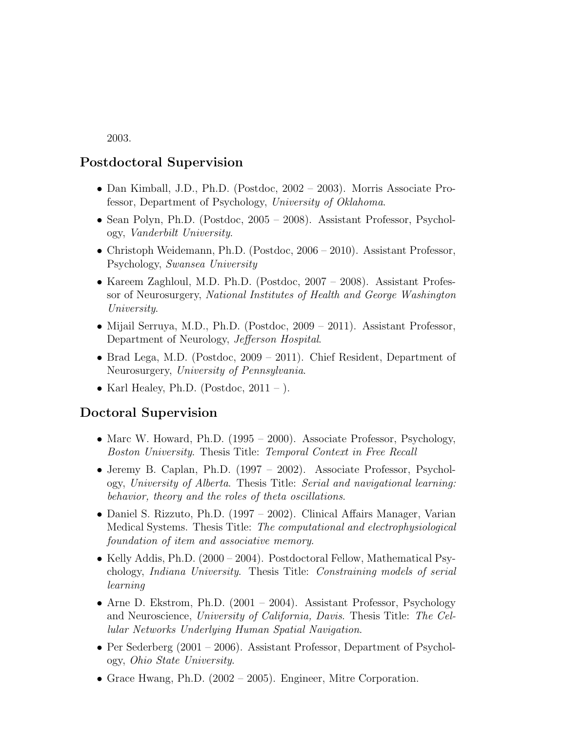2003.

# Postdoctoral Supervision

- Dan Kimball, J.D., Ph.D. (Postdoc, 2002 2003). Morris Associate Professor, Department of Psychology, University of Oklahoma.
- Sean Polyn, Ph.D. (Postdoc, 2005 2008). Assistant Professor, Psychology, Vanderbilt University.
- Christoph Weidemann, Ph.D. (Postdoc, 2006 2010). Assistant Professor, Psychology, Swansea University
- Kareem Zaghloul, M.D. Ph.D. (Postdoc, 2007 2008). Assistant Professor of Neurosurgery, National Institutes of Health and George Washington University.
- Mijail Serruya, M.D., Ph.D. (Postdoc, 2009 2011). Assistant Professor, Department of Neurology, Jefferson Hospital.
- Brad Lega, M.D. (Postdoc, 2009 2011). Chief Resident, Department of Neurosurgery, University of Pennsylvania.
- Karl Healey, Ph.D. (Postdoc,  $2011 -$ ).

## Doctoral Supervision

- Marc W. Howard, Ph.D. (1995 2000). Associate Professor, Psychology, Boston University. Thesis Title: Temporal Context in Free Recall
- Jeremy B. Caplan, Ph.D. (1997 2002). Associate Professor, Psychology, University of Alberta. Thesis Title: Serial and navigational learning: behavior, theory and the roles of theta oscillations.
- Daniel S. Rizzuto, Ph.D. (1997 2002). Clinical Affairs Manager, Varian Medical Systems. Thesis Title: The computational and electrophysiological foundation of item and associative memory.
- Kelly Addis, Ph.D. (2000 2004). Postdoctoral Fellow, Mathematical Psychology, Indiana University. Thesis Title: Constraining models of serial learning
- Arne D. Ekstrom, Ph.D. (2001 2004). Assistant Professor, Psychology and Neuroscience, University of California, Davis. Thesis Title: The Cellular Networks Underlying Human Spatial Navigation.
- Per Sederberg (2001 2006). Assistant Professor, Department of Psychology, Ohio State University.
- Grace Hwang, Ph.D. (2002 2005). Engineer, Mitre Corporation.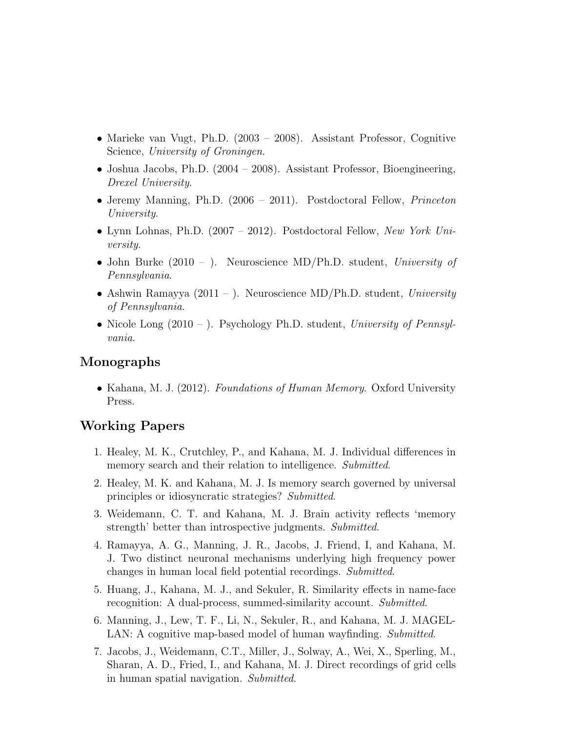- Marieke van Vugt, Ph.D. (2003 2008). Assistant Professor, Cognitive Science, University of Groningen.
- Joshua Jacobs, Ph.D. (2004 2008). Assistant Professor, Bioengineering, Drexel University.
- Jeremy Manning, Ph.D. (2006 2011). Postdoctoral Fellow, *Princeton* University.
- Lynn Lohnas, Ph.D. (2007 2012). Postdoctoral Fellow, New York University.
- John Burke (2010 ). Neuroscience MD/Ph.D. student, University of Pennsylvania.
- Ashwin Ramayya  $(2011 )$ . Neuroscience MD/Ph.D. student, University of Pennsylvania.
- Nicole Long  $(2010 -)$ . Psychology Ph.D. student, University of Pennsylvania.

# Monographs

• Kahana, M. J. (2012). Foundations of Human Memory. Oxford University Press.

# Working Papers

- 1. Healey, M. K., Crutchley, P., and Kahana, M. J. Individual differences in memory search and their relation to intelligence. Submitted.
- 2. Healey, M. K. and Kahana, M. J. Is memory search governed by universal principles or idiosyncratic strategies? Submitted.
- 3. Weidemann, C. T. and Kahana, M. J. Brain activity reflects 'memory strength' better than introspective judgments. Submitted.
- 4. Ramayya, A. G., Manning, J. R., Jacobs, J. Friend, I, and Kahana, M. J. Two distinct neuronal mechanisms underlying high frequency power changes in human local field potential recordings. Submitted.
- 5. Huang, J., Kahana, M. J., and Sekuler, R. Similarity effects in name-face recognition: A dual-process, summed-similarity account. Submitted.
- 6. Manning, J., Lew, T. F., Li, N., Sekuler, R., and Kahana, M. J. MAGEL-LAN: A cognitive map-based model of human wayfinding. Submitted.
- 7. Jacobs, J., Weidemann, C.T., Miller, J., Solway, A., Wei, X., Sperling, M., Sharan, A. D., Fried, I., and Kahana, M. J. Direct recordings of grid cells in human spatial navigation. Submitted.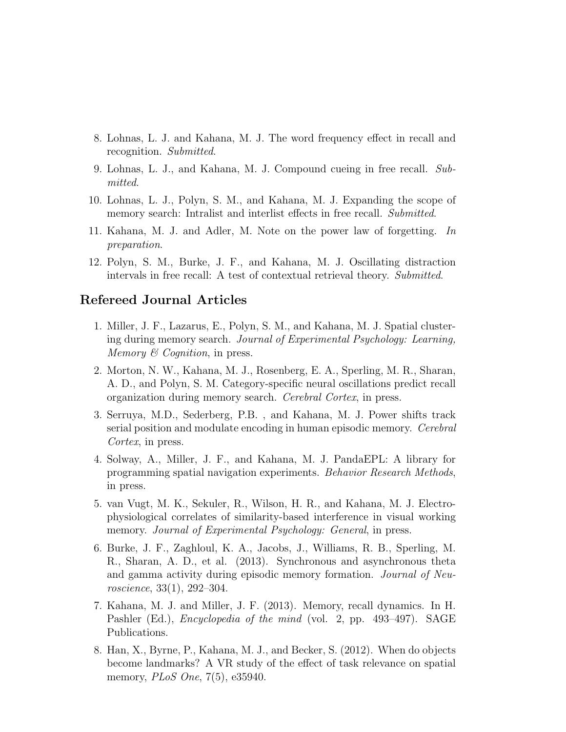- 8. Lohnas, L. J. and Kahana, M. J. The word frequency effect in recall and recognition. Submitted.
- 9. Lohnas, L. J., and Kahana, M. J. Compound cueing in free recall. Submitted.
- 10. Lohnas, L. J., Polyn, S. M., and Kahana, M. J. Expanding the scope of memory search: Intralist and interlist effects in free recall. Submitted.
- 11. Kahana, M. J. and Adler, M. Note on the power law of forgetting. In preparation.
- 12. Polyn, S. M., Burke, J. F., and Kahana, M. J. Oscillating distraction intervals in free recall: A test of contextual retrieval theory. Submitted.

## Refereed Journal Articles

- 1. Miller, J. F., Lazarus, E., Polyn, S. M., and Kahana, M. J. Spatial clustering during memory search. Journal of Experimental Psychology: Learning, Memory  $\mathcal B$  Cognition, in press.
- 2. Morton, N. W., Kahana, M. J., Rosenberg, E. A., Sperling, M. R., Sharan, A. D., and Polyn, S. M. Category-specific neural oscillations predict recall organization during memory search. Cerebral Cortex, in press.
- 3. Serruya, M.D., Sederberg, P.B. , and Kahana, M. J. Power shifts track serial position and modulate encoding in human episodic memory. Cerebral Cortex, in press.
- 4. Solway, A., Miller, J. F., and Kahana, M. J. PandaEPL: A library for programming spatial navigation experiments. Behavior Research Methods, in press.
- 5. van Vugt, M. K., Sekuler, R., Wilson, H. R., and Kahana, M. J. Electrophysiological correlates of similarity-based interference in visual working memory. Journal of Experimental Psychology: General, in press.
- 6. Burke, J. F., Zaghloul, K. A., Jacobs, J., Williams, R. B., Sperling, M. R., Sharan, A. D., et al. (2013). Synchronous and asynchronous theta and gamma activity during episodic memory formation. Journal of Neuroscience, 33(1), 292–304.
- 7. Kahana, M. J. and Miller, J. F. (2013). Memory, recall dynamics. In H. Pashler (Ed.), *Encyclopedia of the mind* (vol. 2, pp. 493–497). SAGE Publications.
- 8. Han, X., Byrne, P., Kahana, M. J., and Becker, S. (2012). When do objects become landmarks? A VR study of the effect of task relevance on spatial memory, *PLoS One*, 7(5), e35940.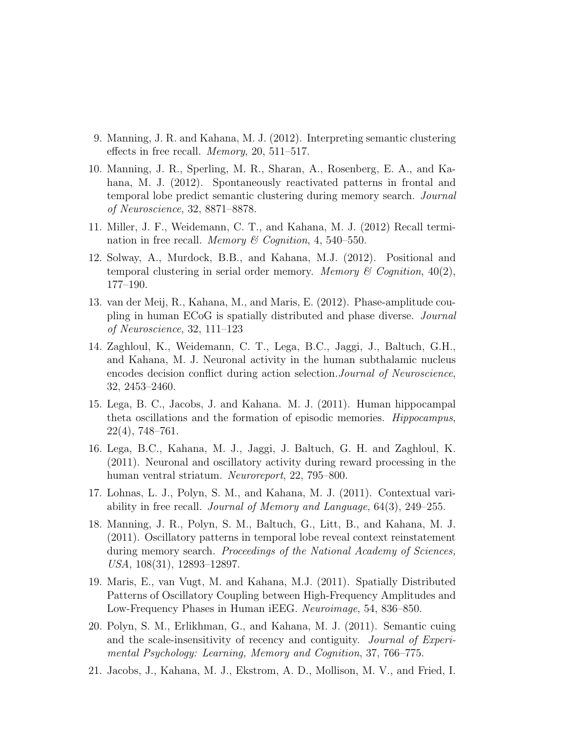- 9. Manning, J. R. and Kahana, M. J. (2012). Interpreting semantic clustering effects in free recall. Memory, 20, 511–517.
- 10. Manning, J. R., Sperling, M. R., Sharan, A., Rosenberg, E. A., and Kahana, M. J. (2012). Spontaneously reactivated patterns in frontal and temporal lobe predict semantic clustering during memory search. Journal of Neuroscience, 32, 8871–8878.
- 11. Miller, J. F., Weidemann, C. T., and Kahana, M. J. (2012) Recall termination in free recall. *Memory & Cognition*, 4, 540–550.
- 12. Solway, A., Murdock, B.B., and Kahana, M.J. (2012). Positional and temporal clustering in serial order memory. Memory & Cognition,  $40(2)$ , 177–190.
- 13. van der Meij, R., Kahana, M., and Maris, E. (2012). Phase-amplitude coupling in human ECoG is spatially distributed and phase diverse. Journal of Neuroscience, 32, 111–123
- 14. Zaghloul, K., Weidemann, C. T., Lega, B.C., Jaggi, J., Baltuch, G.H., and Kahana, M. J. Neuronal activity in the human subthalamic nucleus encodes decision conflict during action selection.Journal of Neuroscience, 32, 2453–2460.
- 15. Lega, B. C., Jacobs, J. and Kahana. M. J. (2011). Human hippocampal theta oscillations and the formation of episodic memories. Hippocampus, 22(4), 748–761.
- 16. Lega, B.C., Kahana, M. J., Jaggi, J. Baltuch, G. H. and Zaghloul, K. (2011). Neuronal and oscillatory activity during reward processing in the human ventral striatum. Neuroreport, 22, 795–800.
- 17. Lohnas, L. J., Polyn, S. M., and Kahana, M. J. (2011). Contextual variability in free recall. Journal of Memory and Language, 64(3), 249–255.
- 18. Manning, J. R., Polyn, S. M., Baltuch, G., Litt, B., and Kahana, M. J. (2011). Oscillatory patterns in temporal lobe reveal context reinstatement during memory search. Proceedings of the National Academy of Sciences, USA, 108(31), 12893–12897.
- 19. Maris, E., van Vugt, M. and Kahana, M.J. (2011). Spatially Distributed Patterns of Oscillatory Coupling between High-Frequency Amplitudes and Low-Frequency Phases in Human iEEG. Neuroimage, 54, 836–850.
- 20. Polyn, S. M., Erlikhman, G., and Kahana, M. J. (2011). Semantic cuing and the scale-insensitivity of recency and contiguity. Journal of Experimental Psychology: Learning, Memory and Cognition, 37, 766–775.
- 21. Jacobs, J., Kahana, M. J., Ekstrom, A. D., Mollison, M. V., and Fried, I.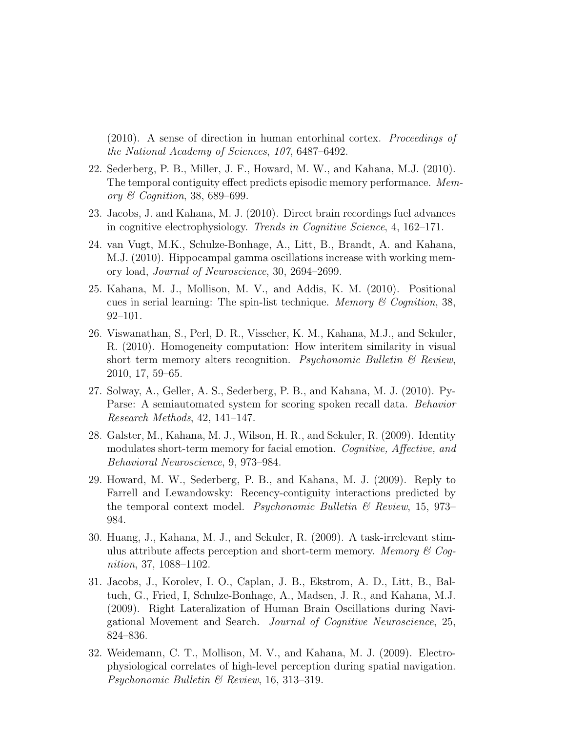(2010). A sense of direction in human entorhinal cortex. Proceedings of the National Academy of Sciences, 107, 6487–6492.

- 22. Sederberg, P. B., Miller, J. F., Howard, M. W., and Kahana, M.J. (2010). The temporal contiguity effect predicts episodic memory performance. Memory & Cognition, 38, 689–699.
- 23. Jacobs, J. and Kahana, M. J. (2010). Direct brain recordings fuel advances in cognitive electrophysiology. Trends in Cognitive Science, 4, 162–171.
- 24. van Vugt, M.K., Schulze-Bonhage, A., Litt, B., Brandt, A. and Kahana, M.J. (2010). Hippocampal gamma oscillations increase with working memory load, Journal of Neuroscience, 30, 2694–2699.
- 25. Kahana, M. J., Mollison, M. V., and Addis, K. M. (2010). Positional cues in serial learning: The spin-list technique. Memory  $\mathcal C$  Cognition, 38, 92–101.
- 26. Viswanathan, S., Perl, D. R., Visscher, K. M., Kahana, M.J., and Sekuler, R. (2010). Homogeneity computation: How interitem similarity in visual short term memory alters recognition. Psychonomic Bulletin  $\mathcal{B}$  Review, 2010, 17, 59–65.
- 27. Solway, A., Geller, A. S., Sederberg, P. B., and Kahana, M. J. (2010). Py-Parse: A semiautomated system for scoring spoken recall data. Behavior Research Methods, 42, 141–147.
- 28. Galster, M., Kahana, M. J., Wilson, H. R., and Sekuler, R. (2009). Identity modulates short-term memory for facial emotion. Cognitive, Affective, and Behavioral Neuroscience, 9, 973–984.
- 29. Howard, M. W., Sederberg, P. B., and Kahana, M. J. (2009). Reply to Farrell and Lewandowsky: Recency-contiguity interactions predicted by the temporal context model. *Psychonomic Bulletin*  $\mathcal{C}_{\text{Review}, 15, 973-}$ 984.
- 30. Huang, J., Kahana, M. J., and Sekuler, R. (2009). A task-irrelevant stimulus attribute affects perception and short-term memory. Memory  $\mathcal{C}$  Coqnition, 37, 1088–1102.
- 31. Jacobs, J., Korolev, I. O., Caplan, J. B., Ekstrom, A. D., Litt, B., Baltuch, G., Fried, I, Schulze-Bonhage, A., Madsen, J. R., and Kahana, M.J. (2009). Right Lateralization of Human Brain Oscillations during Navigational Movement and Search. Journal of Cognitive Neuroscience, 25, 824–836.
- 32. Weidemann, C. T., Mollison, M. V., and Kahana, M. J. (2009). Electrophysiological correlates of high-level perception during spatial navigation. Psychonomic Bulletin & Review, 16, 313–319.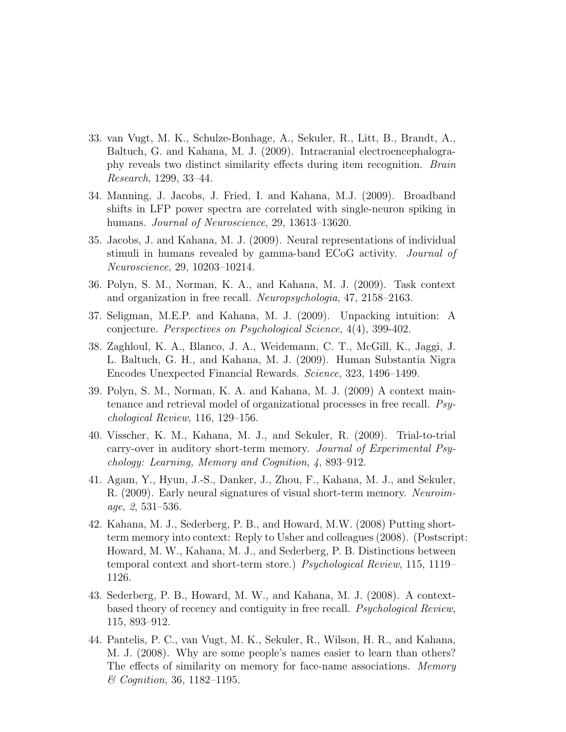- 33. van Vugt, M. K., Schulze-Bonhage, A., Sekuler, R., Litt, B., Brandt, A., Baltuch, G. and Kahana, M. J. (2009). Intracranial electroencephalography reveals two distinct similarity effects during item recognition. Brain Research, 1299, 33–44.
- 34. Manning, J. Jacobs, J. Fried, I. and Kahana, M.J. (2009). Broadband shifts in LFP power spectra are correlated with single-neuron spiking in humans. *Journal of Neuroscience*, 29, 13613–13620.
- 35. Jacobs, J. and Kahana, M. J. (2009). Neural representations of individual stimuli in humans revealed by gamma-band ECoG activity. Journal of Neuroscience, 29, 10203–10214.
- 36. Polyn, S. M., Norman, K. A., and Kahana, M. J. (2009). Task context and organization in free recall. Neuropsychologia, 47, 2158–2163.
- 37. Seligman, M.E.P. and Kahana, M. J. (2009). Unpacking intuition: A conjecture. Perspectives on Psychological Science, 4(4), 399-402.
- 38. Zaghloul, K. A., Blanco, J. A., Weidemann, C. T., McGill, K., Jaggi, J. L. Baltuch, G. H., and Kahana, M. J. (2009). Human Substantia Nigra Encodes Unexpected Financial Rewards. Science, 323, 1496–1499.
- 39. Polyn, S. M., Norman, K. A. and Kahana, M. J. (2009) A context maintenance and retrieval model of organizational processes in free recall. Psychological Review, 116, 129–156.
- 40. Visscher, K. M., Kahana, M. J., and Sekuler, R. (2009). Trial-to-trial carry-over in auditory short-term memory. Journal of Experimental Psychology: Learning, Memory and Cognition, 4, 893–912.
- 41. Agam, Y., Hyun, J.-S., Danker, J., Zhou, F., Kahana, M. J., and Sekuler, R. (2009). Early neural signatures of visual short-term memory. Neuroimage, 2, 531–536.
- 42. Kahana, M. J., Sederberg, P. B., and Howard, M.W. (2008) Putting shortterm memory into context: Reply to Usher and colleagues (2008). (Postscript: Howard, M. W., Kahana, M. J., and Sederberg, P. B. Distinctions between temporal context and short-term store.) Psychological Review, 115, 1119– 1126.
- 43. Sederberg, P. B., Howard, M. W., and Kahana, M. J. (2008). A contextbased theory of recency and contiguity in free recall. Psychological Review, 115, 893–912.
- 44. Pantelis, P. C., van Vugt, M. K., Sekuler, R., Wilson, H. R., and Kahana, M. J. (2008). Why are some people's names easier to learn than others? The effects of similarity on memory for face-name associations. Memory & Cognition, 36, 1182–1195.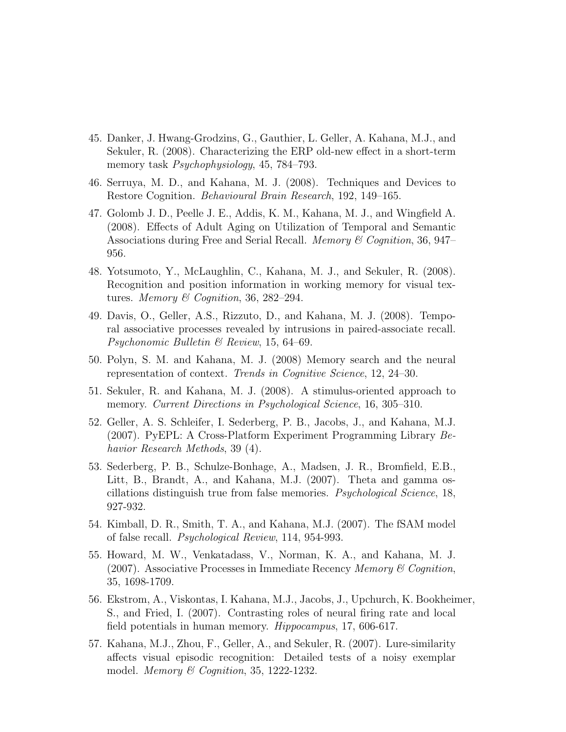- 45. Danker, J. Hwang-Grodzins, G., Gauthier, L. Geller, A. Kahana, M.J., and Sekuler, R. (2008). Characterizing the ERP old-new effect in a short-term memory task *Psychophysiology*, 45, 784–793.
- 46. Serruya, M. D., and Kahana, M. J. (2008). Techniques and Devices to Restore Cognition. Behavioural Brain Research, 192, 149–165.
- 47. Golomb J. D., Peelle J. E., Addis, K. M., Kahana, M. J., and Wingfield A. (2008). Effects of Adult Aging on Utilization of Temporal and Semantic Associations during Free and Serial Recall. *Memory & Cognition*, 36, 947– 956.
- 48. Yotsumoto, Y., McLaughlin, C., Kahana, M. J., and Sekuler, R. (2008). Recognition and position information in working memory for visual textures. Memory & Cognition, 36, 282–294.
- 49. Davis, O., Geller, A.S., Rizzuto, D., and Kahana, M. J. (2008). Temporal associative processes revealed by intrusions in paired-associate recall. Psychonomic Bulletin & Review, 15, 64–69.
- 50. Polyn, S. M. and Kahana, M. J. (2008) Memory search and the neural representation of context. Trends in Cognitive Science, 12, 24–30.
- 51. Sekuler, R. and Kahana, M. J. (2008). A stimulus-oriented approach to memory. Current Directions in Psychological Science, 16, 305–310.
- 52. Geller, A. S. Schleifer, I. Sederberg, P. B., Jacobs, J., and Kahana, M.J. (2007). PyEPL: A Cross-Platform Experiment Programming Library Behavior Research Methods, 39 (4).
- 53. Sederberg, P. B., Schulze-Bonhage, A., Madsen, J. R., Bromfield, E.B., Litt, B., Brandt, A., and Kahana, M.J. (2007). Theta and gamma oscillations distinguish true from false memories. Psychological Science, 18, 927-932.
- 54. Kimball, D. R., Smith, T. A., and Kahana, M.J. (2007). The fSAM model of false recall. Psychological Review, 114, 954-993.
- 55. Howard, M. W., Venkatadass, V., Norman, K. A., and Kahana, M. J. (2007). Associative Processes in Immediate Recency Memory  $\mathcal C$  Cognition, 35, 1698-1709.
- 56. Ekstrom, A., Viskontas, I. Kahana, M.J., Jacobs, J., Upchurch, K. Bookheimer, S., and Fried, I. (2007). Contrasting roles of neural firing rate and local field potentials in human memory. Hippocampus, 17, 606-617.
- 57. Kahana, M.J., Zhou, F., Geller, A., and Sekuler, R. (2007). Lure-similarity affects visual episodic recognition: Detailed tests of a noisy exemplar model. *Memory*  $\mathcal C$  Cognition, 35, 1222-1232.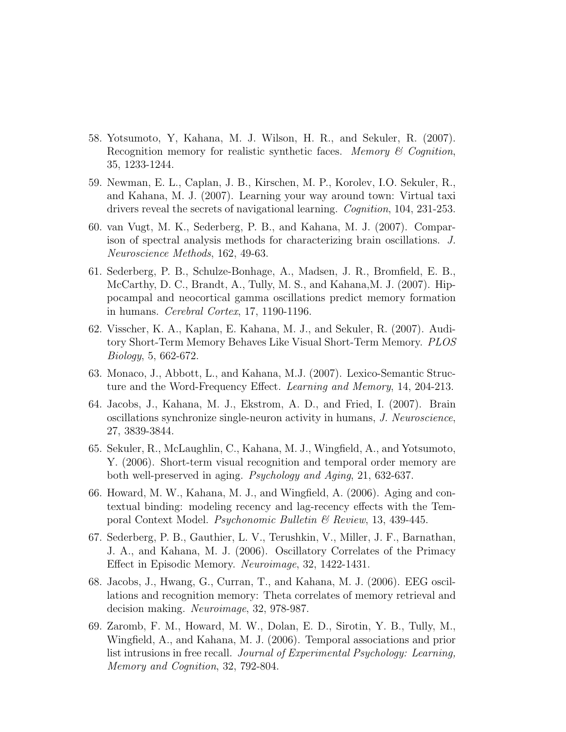- 58. Yotsumoto, Y, Kahana, M. J. Wilson, H. R., and Sekuler, R. (2007). Recognition memory for realistic synthetic faces. Memory  $\mathcal C$  Cognition, 35, 1233-1244.
- 59. Newman, E. L., Caplan, J. B., Kirschen, M. P., Korolev, I.O. Sekuler, R., and Kahana, M. J. (2007). Learning your way around town: Virtual taxi drivers reveal the secrets of navigational learning. Cognition, 104, 231-253.
- 60. van Vugt, M. K., Sederberg, P. B., and Kahana, M. J. (2007). Comparison of spectral analysis methods for characterizing brain oscillations. J. Neuroscience Methods, 162, 49-63.
- 61. Sederberg, P. B., Schulze-Bonhage, A., Madsen, J. R., Bromfield, E. B., McCarthy, D. C., Brandt, A., Tully, M. S., and Kahana,M. J. (2007). Hippocampal and neocortical gamma oscillations predict memory formation in humans. Cerebral Cortex, 17, 1190-1196.
- 62. Visscher, K. A., Kaplan, E. Kahana, M. J., and Sekuler, R. (2007). Auditory Short-Term Memory Behaves Like Visual Short-Term Memory. PLOS Biology, 5, 662-672.
- 63. Monaco, J., Abbott, L., and Kahana, M.J. (2007). Lexico-Semantic Structure and the Word-Frequency Effect. Learning and Memory, 14, 204-213.
- 64. Jacobs, J., Kahana, M. J., Ekstrom, A. D., and Fried, I. (2007). Brain oscillations synchronize single-neuron activity in humans, J. Neuroscience, 27, 3839-3844.
- 65. Sekuler, R., McLaughlin, C., Kahana, M. J., Wingfield, A., and Yotsumoto, Y. (2006). Short-term visual recognition and temporal order memory are both well-preserved in aging. Psychology and Aging, 21, 632-637.
- 66. Howard, M. W., Kahana, M. J., and Wingfield, A. (2006). Aging and contextual binding: modeling recency and lag-recency effects with the Temporal Context Model. Psychonomic Bulletin & Review, 13, 439-445.
- 67. Sederberg, P. B., Gauthier, L. V., Terushkin, V., Miller, J. F., Barnathan, J. A., and Kahana, M. J. (2006). Oscillatory Correlates of the Primacy Effect in Episodic Memory. Neuroimage, 32, 1422-1431.
- 68. Jacobs, J., Hwang, G., Curran, T., and Kahana, M. J. (2006). EEG oscillations and recognition memory: Theta correlates of memory retrieval and decision making. Neuroimage, 32, 978-987.
- 69. Zaromb, F. M., Howard, M. W., Dolan, E. D., Sirotin, Y. B., Tully, M., Wingfield, A., and Kahana, M. J. (2006). Temporal associations and prior list intrusions in free recall. Journal of Experimental Psychology: Learning, Memory and Cognition, 32, 792-804.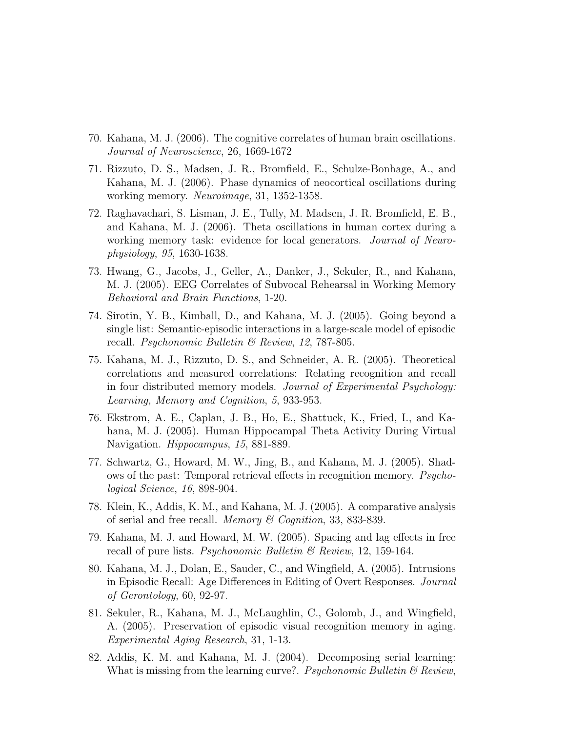- 70. Kahana, M. J. (2006). The cognitive correlates of human brain oscillations. Journal of Neuroscience, 26, 1669-1672
- 71. Rizzuto, D. S., Madsen, J. R., Bromfield, E., Schulze-Bonhage, A., and Kahana, M. J. (2006). Phase dynamics of neocortical oscillations during working memory. Neuroimage, 31, 1352-1358.
- 72. Raghavachari, S. Lisman, J. E., Tully, M. Madsen, J. R. Bromfield, E. B., and Kahana, M. J. (2006). Theta oscillations in human cortex during a working memory task: evidence for local generators. *Journal of Neuro*physiology, 95, 1630-1638.
- 73. Hwang, G., Jacobs, J., Geller, A., Danker, J., Sekuler, R., and Kahana, M. J. (2005). EEG Correlates of Subvocal Rehearsal in Working Memory Behavioral and Brain Functions, 1-20.
- 74. Sirotin, Y. B., Kimball, D., and Kahana, M. J. (2005). Going beyond a single list: Semantic-episodic interactions in a large-scale model of episodic recall. Psychonomic Bulletin & Review, 12, 787-805.
- 75. Kahana, M. J., Rizzuto, D. S., and Schneider, A. R. (2005). Theoretical correlations and measured correlations: Relating recognition and recall in four distributed memory models. Journal of Experimental Psychology: Learning, Memory and Cognition, 5, 933-953.
- 76. Ekstrom, A. E., Caplan, J. B., Ho, E., Shattuck, K., Fried, I., and Kahana, M. J. (2005). Human Hippocampal Theta Activity During Virtual Navigation. Hippocampus, 15, 881-889.
- 77. Schwartz, G., Howard, M. W., Jing, B., and Kahana, M. J. (2005). Shadows of the past: Temporal retrieval effects in recognition memory. Psychological Science, 16, 898-904.
- 78. Klein, K., Addis, K. M., and Kahana, M. J. (2005). A comparative analysis of serial and free recall. *Memory*  $\mathscr$  Cognition, 33, 833-839.
- 79. Kahana, M. J. and Howard, M. W. (2005). Spacing and lag effects in free recall of pure lists. *Psychonomic Bulletin*  $\mathcal C$  *Review*, 12, 159-164.
- 80. Kahana, M. J., Dolan, E., Sauder, C., and Wingfield, A. (2005). Intrusions in Episodic Recall: Age Differences in Editing of Overt Responses. Journal of Gerontology, 60, 92-97.
- 81. Sekuler, R., Kahana, M. J., McLaughlin, C., Golomb, J., and Wingfield, A. (2005). Preservation of episodic visual recognition memory in aging. Experimental Aging Research, 31, 1-13.
- 82. Addis, K. M. and Kahana, M. J. (2004). Decomposing serial learning: What is missing from the learning curve?. Psychonomic Bulletin  $\mathcal{C}_{\mathcal{B}}$  Review,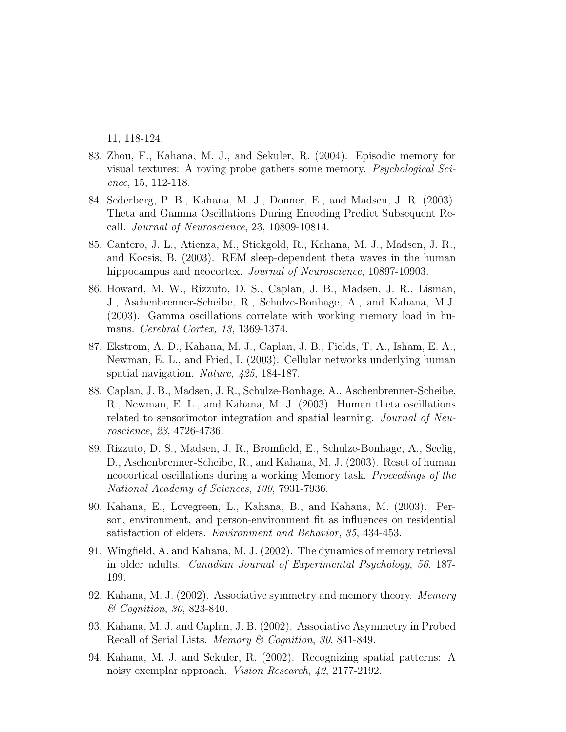11, 118-124.

- 83. Zhou, F., Kahana, M. J., and Sekuler, R. (2004). Episodic memory for visual textures: A roving probe gathers some memory. Psychological Science, 15, 112-118.
- 84. Sederberg, P. B., Kahana, M. J., Donner, E., and Madsen, J. R. (2003). Theta and Gamma Oscillations During Encoding Predict Subsequent Recall. Journal of Neuroscience, 23, 10809-10814.
- 85. Cantero, J. L., Atienza, M., Stickgold, R., Kahana, M. J., Madsen, J. R., and Kocsis, B. (2003). REM sleep-dependent theta waves in the human hippocampus and neocortex. *Journal of Neuroscience*, 10897-10903.
- 86. Howard, M. W., Rizzuto, D. S., Caplan, J. B., Madsen, J. R., Lisman, J., Aschenbrenner-Scheibe, R., Schulze-Bonhage, A., and Kahana, M.J. (2003). Gamma oscillations correlate with working memory load in humans. Cerebral Cortex, 13, 1369-1374.
- 87. Ekstrom, A. D., Kahana, M. J., Caplan, J. B., Fields, T. A., Isham, E. A., Newman, E. L., and Fried, I. (2003). Cellular networks underlying human spatial navigation. Nature, 425, 184-187.
- 88. Caplan, J. B., Madsen, J. R., Schulze-Bonhage, A., Aschenbrenner-Scheibe, R., Newman, E. L., and Kahana, M. J. (2003). Human theta oscillations related to sensorimotor integration and spatial learning. Journal of Neuroscience, 23, 4726-4736.
- 89. Rizzuto, D. S., Madsen, J. R., Bromfield, E., Schulze-Bonhage, A., Seelig, D., Aschenbrenner-Scheibe, R., and Kahana, M. J. (2003). Reset of human neocortical oscillations during a working Memory task. Proceedings of the National Academy of Sciences, 100, 7931-7936.
- 90. Kahana, E., Lovegreen, L., Kahana, B., and Kahana, M. (2003). Person, environment, and person-environment fit as influences on residential satisfaction of elders. Environment and Behavior, 35, 434-453.
- 91. Wingfield, A. and Kahana, M. J. (2002). The dynamics of memory retrieval in older adults. Canadian Journal of Experimental Psychology, 56, 187- 199.
- 92. Kahana, M. J. (2002). Associative symmetry and memory theory. Memory & Cognition, 30, 823-840.
- 93. Kahana, M. J. and Caplan, J. B. (2002). Associative Asymmetry in Probed Recall of Serial Lists. Memory & Cognition, 30, 841-849.
- 94. Kahana, M. J. and Sekuler, R. (2002). Recognizing spatial patterns: A noisy exemplar approach. Vision Research, 42, 2177-2192.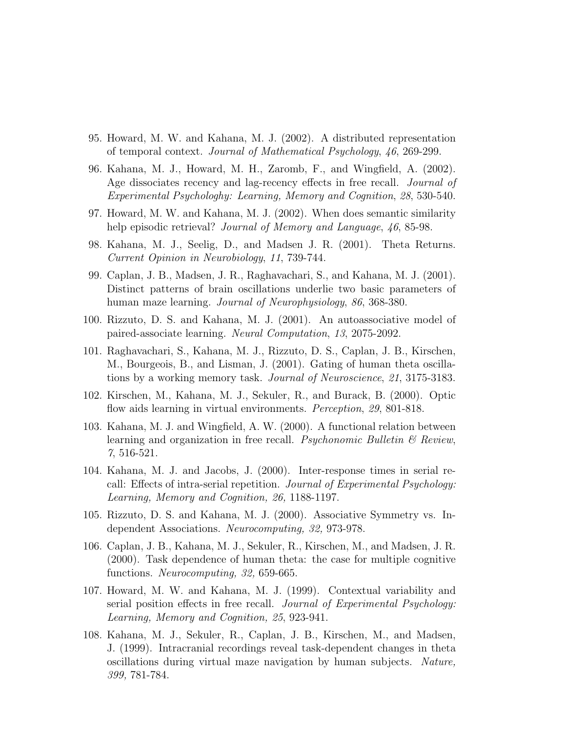- 95. Howard, M. W. and Kahana, M. J. (2002). A distributed representation of temporal context. Journal of Mathematical Psychology, 46, 269-299.
- 96. Kahana, M. J., Howard, M. H., Zaromb, F., and Wingfield, A. (2002). Age dissociates recency and lag-recency effects in free recall. *Journal of* Experimental Psychologhy: Learning, Memory and Cognition, 28, 530-540.
- 97. Howard, M. W. and Kahana, M. J. (2002). When does semantic similarity help episodic retrieval? *Journal of Memory and Language*, 46, 85-98.
- 98. Kahana, M. J., Seelig, D., and Madsen J. R. (2001). Theta Returns. Current Opinion in Neurobiology, 11, 739-744.
- 99. Caplan, J. B., Madsen, J. R., Raghavachari, S., and Kahana, M. J. (2001). Distinct patterns of brain oscillations underlie two basic parameters of human maze learning. *Journal of Neurophysiology*, 86, 368-380.
- 100. Rizzuto, D. S. and Kahana, M. J. (2001). An autoassociative model of paired-associate learning. Neural Computation, 13, 2075-2092.
- 101. Raghavachari, S., Kahana, M. J., Rizzuto, D. S., Caplan, J. B., Kirschen, M., Bourgeois, B., and Lisman, J. (2001). Gating of human theta oscillations by a working memory task. Journal of Neuroscience, 21, 3175-3183.
- 102. Kirschen, M., Kahana, M. J., Sekuler, R., and Burack, B. (2000). Optic flow aids learning in virtual environments. *Perception*, 29, 801-818.
- 103. Kahana, M. J. and Wingfield, A. W. (2000). A functional relation between learning and organization in free recall. Psychonomic Bulletin  $\mathcal B$  Review, 7, 516-521.
- 104. Kahana, M. J. and Jacobs, J. (2000). Inter-response times in serial recall: Effects of intra-serial repetition. Journal of Experimental Psychology: Learning, Memory and Cognition, 26, 1188-1197.
- 105. Rizzuto, D. S. and Kahana, M. J. (2000). Associative Symmetry vs. Independent Associations. Neurocomputing, 32, 973-978.
- 106. Caplan, J. B., Kahana, M. J., Sekuler, R., Kirschen, M., and Madsen, J. R. (2000). Task dependence of human theta: the case for multiple cognitive functions. Neurocomputing, 32, 659-665.
- 107. Howard, M. W. and Kahana, M. J. (1999). Contextual variability and serial position effects in free recall. *Journal of Experimental Psychology:* Learning, Memory and Cognition, 25, 923-941.
- 108. Kahana, M. J., Sekuler, R., Caplan, J. B., Kirschen, M., and Madsen, J. (1999). Intracranial recordings reveal task-dependent changes in theta oscillations during virtual maze navigation by human subjects. Nature, 399, 781-784.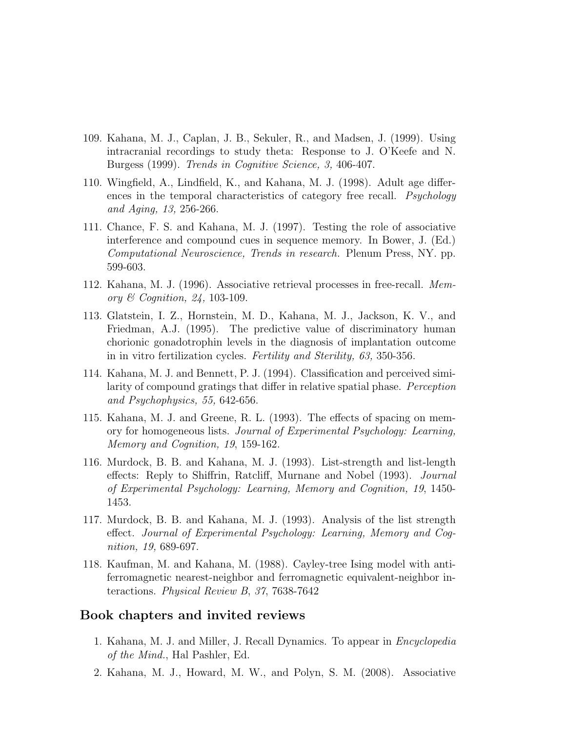- 109. Kahana, M. J., Caplan, J. B., Sekuler, R., and Madsen, J. (1999). Using intracranial recordings to study theta: Response to J. O'Keefe and N. Burgess (1999). Trends in Cognitive Science, 3, 406-407.
- 110. Wingfield, A., Lindfield, K., and Kahana, M. J. (1998). Adult age differences in the temporal characteristics of category free recall. *Psychology* and Aging, 13, 256-266.
- 111. Chance, F. S. and Kahana, M. J. (1997). Testing the role of associative interference and compound cues in sequence memory. In Bower, J. (Ed.) Computational Neuroscience, Trends in research. Plenum Press, NY. pp. 599-603.
- 112. Kahana, M. J. (1996). Associative retrieval processes in free-recall. Memory & Cognition, 24, 103-109.
- 113. Glatstein, I. Z., Hornstein, M. D., Kahana, M. J., Jackson, K. V., and Friedman, A.J. (1995). The predictive value of discriminatory human chorionic gonadotrophin levels in the diagnosis of implantation outcome in in vitro fertilization cycles. Fertility and Sterility, 63, 350-356.
- 114. Kahana, M. J. and Bennett, P. J. (1994). Classification and perceived similarity of compound gratings that differ in relative spatial phase. Perception and Psychophysics, 55, 642-656.
- 115. Kahana, M. J. and Greene, R. L. (1993). The effects of spacing on memory for homogeneous lists. Journal of Experimental Psychology: Learning, Memory and Cognition, 19, 159-162.
- 116. Murdock, B. B. and Kahana, M. J. (1993). List-strength and list-length effects: Reply to Shiffrin, Ratcliff, Murnane and Nobel (1993). Journal of Experimental Psychology: Learning, Memory and Cognition, 19, 1450- 1453.
- 117. Murdock, B. B. and Kahana, M. J. (1993). Analysis of the list strength effect. Journal of Experimental Psychology: Learning, Memory and Cognition, 19, 689-697.
- 118. Kaufman, M. and Kahana, M. (1988). Cayley-tree Ising model with antiferromagnetic nearest-neighbor and ferromagnetic equivalent-neighbor interactions. Physical Review B, 37, 7638-7642

## Book chapters and invited reviews

- 1. Kahana, M. J. and Miller, J. Recall Dynamics. To appear in Encyclopedia of the Mind., Hal Pashler, Ed.
- 2. Kahana, M. J., Howard, M. W., and Polyn, S. M. (2008). Associative